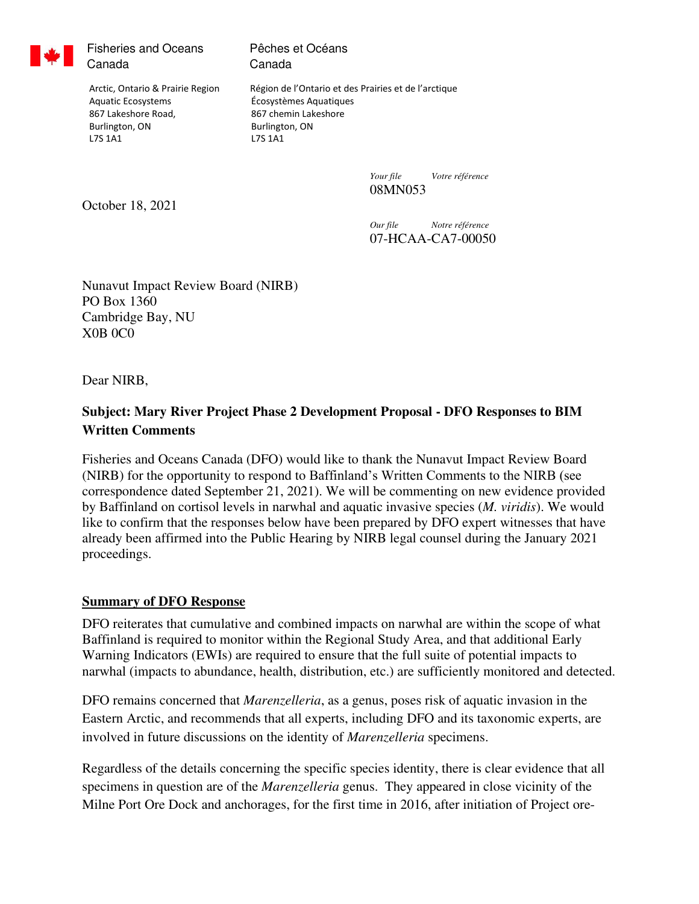

Fisheries and Oceans Canada

Pêches et Océans Canada

 Aquatic Ecosystems Écosystèmes Aquatiques 867 Lakeshore Road, 867 chemin Lakeshore Burlington, ON Burlington, ON L7S 1A1 L7S 1A1

Arctic, Ontario & Prairie Region Région de l'Ontario et des Prairies et de l'arctique

*Your file Votre référence*  08MN053

October 18, 2021

*Our file Notre référence*  07-HCAA-CA7-00050

Nunavut Impact Review Board (NIRB) PO Box 1360 Cambridge Bay, NU X0B 0C0

Dear NIRB,

# **Subject: Mary River Project Phase 2 Development Proposal - DFO Responses to BIM Written Comments**

Fisheries and Oceans Canada (DFO) would like to thank the Nunavut Impact Review Board (NIRB) for the opportunity to respond to Baffinland's Written Comments to the NIRB (see correspondence dated September 21, 2021). We will be commenting on new evidence provided by Baffinland on cortisol levels in narwhal and aquatic invasive species (*M. viridis*). We would like to confirm that the responses below have been prepared by DFO expert witnesses that have already been affirmed into the Public Hearing by NIRB legal counsel during the January 2021 proceedings.

## **Summary of DFO Response**

DFO reiterates that cumulative and combined impacts on narwhal are within the scope of what Baffinland is required to monitor within the Regional Study Area, and that additional Early Warning Indicators (EWIs) are required to ensure that the full suite of potential impacts to narwhal (impacts to abundance, health, distribution, etc.) are sufficiently monitored and detected.

DFO remains concerned that *Marenzelleria*, as a genus, poses risk of aquatic invasion in the Eastern Arctic, and recommends that all experts, including DFO and its taxonomic experts, are involved in future discussions on the identity of *Marenzelleria* specimens.

Regardless of the details concerning the specific species identity, there is clear evidence that all specimens in question are of the *Marenzelleria* genus. They appeared in close vicinity of the Milne Port Ore Dock and anchorages, for the first time in 2016, after initiation of Project ore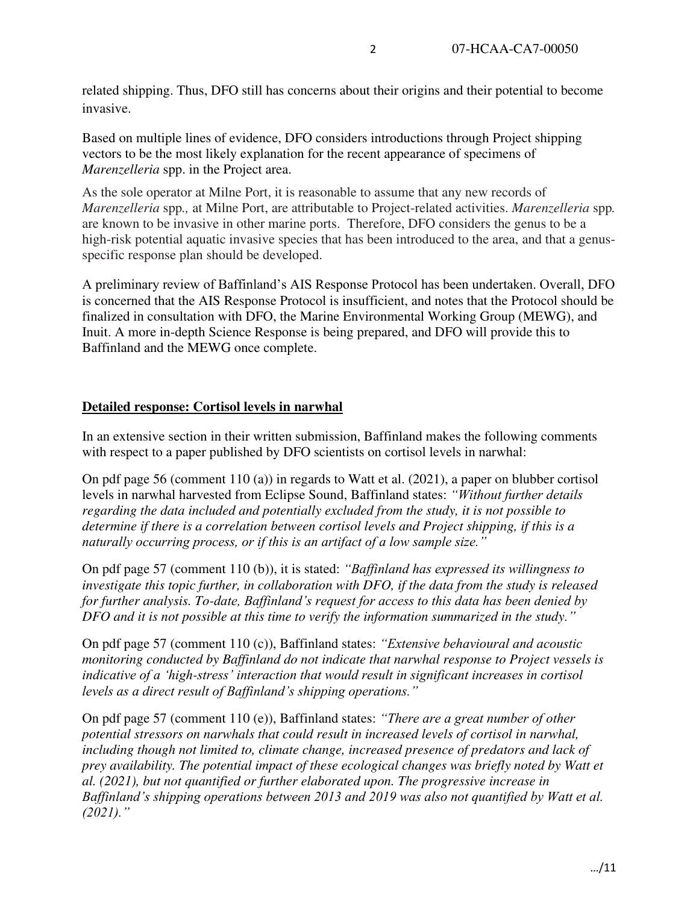related shipping. Thus, DFO still has concerns about their origins and their potential to become invasive.

Based on multiple lines of evidence, DFO considers introductions through Project shipping vectors to be the most likely explanation for the recent appearance of specimens of *Marenzelleria* spp. in the Project area.

As the sole operator at Milne Port, it is reasonable to assume that any new records of *Marenzelleria* spp*.,* at Milne Port, are attributable to Project-related activities. *Marenzelleria* spp*.* are known to be invasive in other marine ports. Therefore, DFO considers the genus to be a high-risk potential aquatic invasive species that has been introduced to the area, and that a genusspecific response plan should be developed.

A preliminary review of Baffinland's AIS Response Protocol has been undertaken. Overall, DFO is concerned that the AIS Response Protocol is insufficient, and notes that the Protocol should be finalized in consultation with DFO, the Marine Environmental Working Group (MEWG), and Inuit. A more in-depth Science Response is being prepared, and DFO will provide this to Baffinland and the MEWG once complete.

## **Detailed response: Cortisol levels in narwhal**

In an extensive section in their written submission, Baffinland makes the following comments with respect to a paper published by DFO scientists on cortisol levels in narwhal:

On pdf page 56 (comment 110 (a)) in regards to Watt et al. (2021), a paper on blubber cortisol levels in narwhal harvested from Eclipse Sound, Baffinland states: *"Without further details regarding the data included and potentially excluded from the study, it is not possible to determine if there is a correlation between cortisol levels and Project shipping, if this is a naturally occurring process, or if this is an artifact of a low sample size."*

On pdf page 57 (comment 110 (b)), it is stated: *"Baffinland has expressed its willingness to investigate this topic further, in collaboration with DFO, if the data from the study is released for further analysis. To-date, Baffinland's request for access to this data has been denied by DFO and it is not possible at this time to verify the information summarized in the study."*

On pdf page 57 (comment 110 (c)), Baffinland states: *"Extensive behavioural and acoustic monitoring conducted by Baffinland do not indicate that narwhal response to Project vessels is indicative of a 'high-stress' interaction that would result in significant increases in cortisol levels as a direct result of Baffinland's shipping operations."*

On pdf page 57 (comment 110 (e)), Baffinland states: *"There are a great number of other potential stressors on narwhals that could result in increased levels of cortisol in narwhal, including though not limited to, climate change, increased presence of predators and lack of prey availability. The potential impact of these ecological changes was briefly noted by Watt et al. (2021), but not quantified or further elaborated upon. The progressive increase in Baffinland's shipping operations between 2013 and 2019 was also not quantified by Watt et al. (2021)."*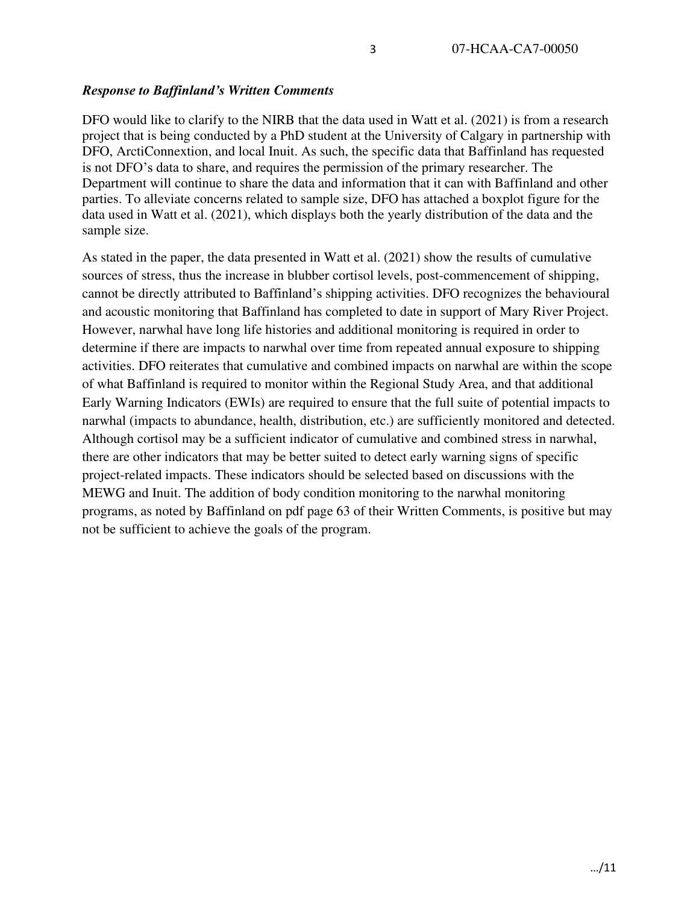## *Response to Baffinland's Written Comments*

DFO would like to clarify to the NIRB that the data used in Watt et al. (2021) is from a research project that is being conducted by a PhD student at the University of Calgary in partnership with DFO, ArctiConnextion, and local Inuit. As such, the specific data that Baffinland has requested is not DFO's data to share, and requires the permission of the primary researcher. The Department will continue to share the data and information that it can with Baffinland and other parties. To alleviate concerns related to sample size, DFO has attached a boxplot figure for the data used in Watt et al. (2021), which displays both the yearly distribution of the data and the sample size.

As stated in the paper, the data presented in Watt et al. (2021) show the results of cumulative sources of stress, thus the increase in blubber cortisol levels, post-commencement of shipping, cannot be directly attributed to Baffinland's shipping activities. DFO recognizes the behavioural and acoustic monitoring that Baffinland has completed to date in support of Mary River Project. However, narwhal have long life histories and additional monitoring is required in order to determine if there are impacts to narwhal over time from repeated annual exposure to shipping activities. DFO reiterates that cumulative and combined impacts on narwhal are within the scope of what Baffinland is required to monitor within the Regional Study Area, and that additional Early Warning Indicators (EWIs) are required to ensure that the full suite of potential impacts to narwhal (impacts to abundance, health, distribution, etc.) are sufficiently monitored and detected. Although cortisol may be a sufficient indicator of cumulative and combined stress in narwhal, there are other indicators that may be better suited to detect early warning signs of specific project-related impacts. These indicators should be selected based on discussions with the MEWG and Inuit. The addition of body condition monitoring to the narwhal monitoring programs, as noted by Baffinland on pdf page 63 of their Written Comments, is positive but may not be sufficient to achieve the goals of the program.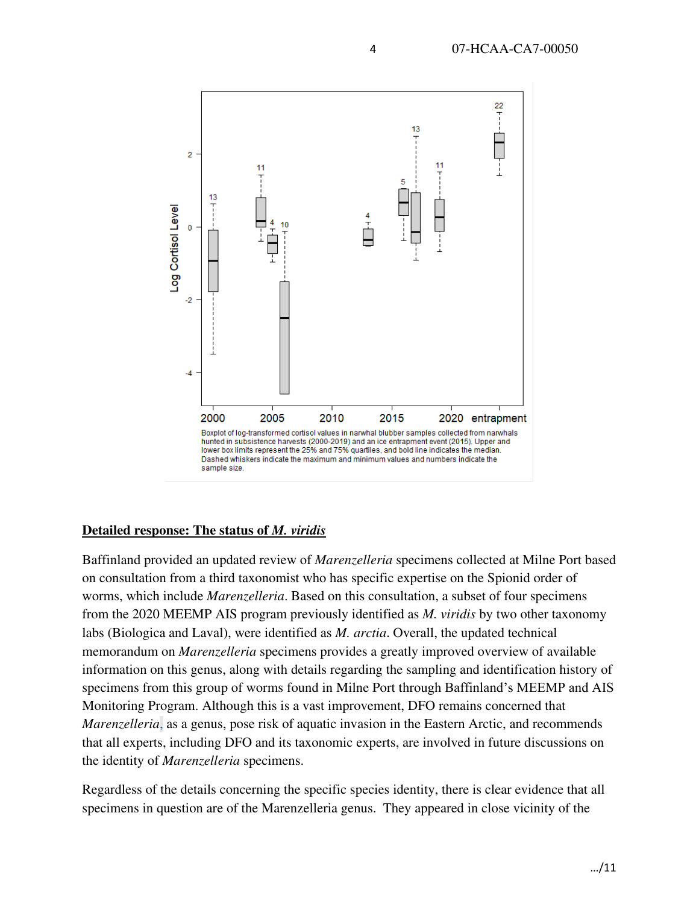

## **Detailed response: The status of** *M. viridis*

Baffinland provided an updated review of *Marenzelleria* specimens collected at Milne Port based on consultation from a third taxonomist who has specific expertise on the Spionid order of worms, which include *Marenzelleria*. Based on this consultation, a subset of four specimens from the 2020 MEEMP AIS program previously identified as *M. viridis* by two other taxonomy labs (Biologica and Laval), were identified as *M. arctia*. Overall, the updated technical memorandum on *Marenzelleria* specimens provides a greatly improved overview of available information on this genus, along with details regarding the sampling and identification history of specimens from this group of worms found in Milne Port through Baffinland's MEEMP and AIS Monitoring Program. Although this is a vast improvement, DFO remains concerned that *Marenzelleria*, as a genus, pose risk of aquatic invasion in the Eastern Arctic, and recommends that all experts, including DFO and its taxonomic experts, are involved in future discussions on the identity of *Marenzelleria* specimens.

Regardless of the details concerning the specific species identity, there is clear evidence that all specimens in question are of the Marenzelleria genus. They appeared in close vicinity of the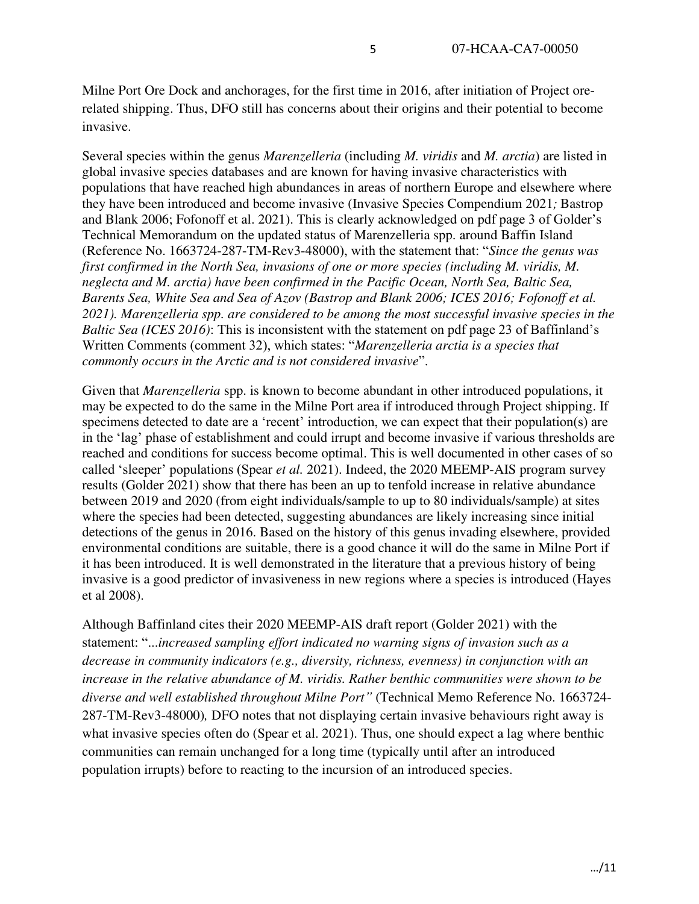Milne Port Ore Dock and anchorages, for the first time in 2016, after initiation of Project orerelated shipping. Thus, DFO still has concerns about their origins and their potential to become invasive.

Several species within the genus *Marenzelleria* (including *M. viridis* and *M. arctia*) are listed in global invasive species databases and are known for having invasive characteristics with populations that have reached high abundances in areas of northern Europe and elsewhere where they have been introduced and become invasive (Invasive Species Compendium 2021*;* Bastrop and Blank 2006; Fofonoff et al. 2021). This is clearly acknowledged on pdf page 3 of Golder's Technical Memorandum on the updated status of Marenzelleria spp. around Baffin Island (Reference No. 1663724-287-TM-Rev3-48000), with the statement that: "*Since the genus was first confirmed in the North Sea, invasions of one or more species (including M. viridis, M. neglecta and M. arctia) have been confirmed in the Pacific Ocean, North Sea, Baltic Sea, Barents Sea, White Sea and Sea of Azov (Bastrop and Blank 2006; ICES 2016; Fofonoff et al. 2021). Marenzelleria spp. are considered to be among the most successful invasive species in the Baltic Sea (ICES 2016)*: This is inconsistent with the statement on pdf page 23 of Baffinland's Written Comments (comment 32), which states: "*Marenzelleria arctia is a species that commonly occurs in the Arctic and is not considered invasive*".

Given that *Marenzelleria* spp. is known to become abundant in other introduced populations, it may be expected to do the same in the Milne Port area if introduced through Project shipping. If specimens detected to date are a 'recent' introduction, we can expect that their population(s) are in the 'lag' phase of establishment and could irrupt and become invasive if various thresholds are reached and conditions for success become optimal. This is well documented in other cases of so called 'sleeper' populations (Spear *et al.* 2021). Indeed, the 2020 MEEMP-AIS program survey results (Golder 2021) show that there has been an up to tenfold increase in relative abundance between 2019 and 2020 (from eight individuals/sample to up to 80 individuals/sample) at sites where the species had been detected, suggesting abundances are likely increasing since initial detections of the genus in 2016. Based on the history of this genus invading elsewhere, provided environmental conditions are suitable, there is a good chance it will do the same in Milne Port if it has been introduced. It is well demonstrated in the literature that a previous history of being invasive is a good predictor of invasiveness in new regions where a species is introduced (Hayes et al 2008).

Although Baffinland cites their 2020 MEEMP-AIS draft report (Golder 2021) with the statement: "...*increased sampling effort indicated no warning signs of invasion such as a decrease in community indicators (e.g., diversity, richness, evenness) in conjunction with an increase in the relative abundance of M. viridis. Rather benthic communities were shown to be diverse and well established throughout Milne Port"* (Technical Memo Reference No. 1663724- 287-TM-Rev3-48000)*,* DFO notes that not displaying certain invasive behaviours right away is what invasive species often do (Spear et al. 2021). Thus, one should expect a lag where benthic communities can remain unchanged for a long time (typically until after an introduced population irrupts) before to reacting to the incursion of an introduced species.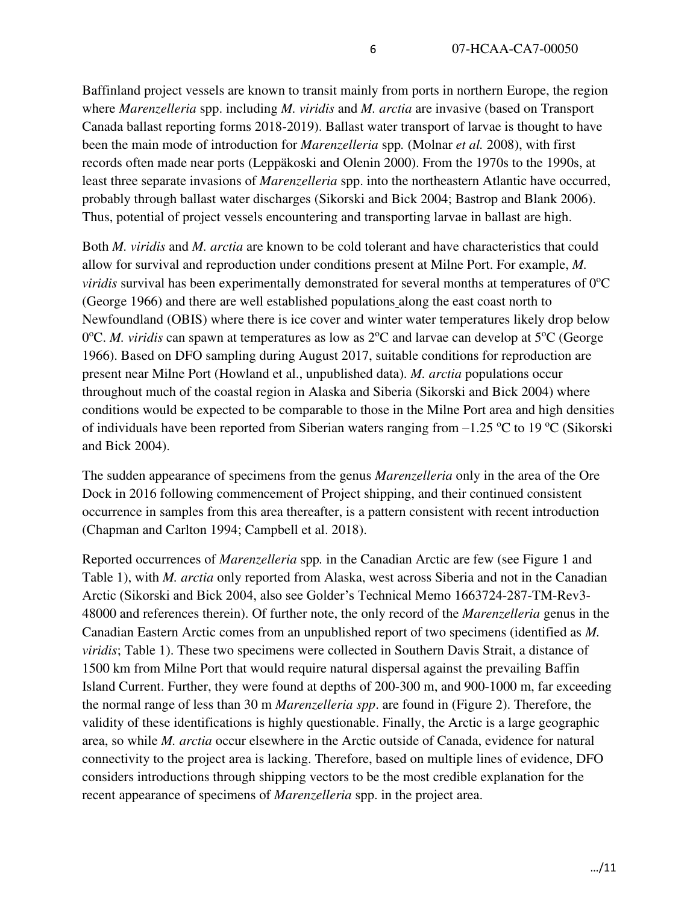Baffinland project vessels are known to transit mainly from ports in northern Europe, the region where *Marenzelleria* spp. including *M. viridis* and *M. arctia* are invasive (based on Transport Canada ballast reporting forms 2018-2019). Ballast water transport of larvae is thought to have been the main mode of introduction for *Marenzelleria* spp*.* (Molnar *et al.* 2008), with first records often made near ports (Leppäkoski and Olenin 2000). From the 1970s to the 1990s, at least three separate invasions of *Marenzelleria* spp. into the northeastern Atlantic have occurred, probably through ballast water discharges (Sikorski and Bick 2004; Bastrop and Blank 2006). Thus, potential of project vessels encountering and transporting larvae in ballast are high.

Both *M. viridis* and *M. arctia* are known to be cold tolerant and have characteristics that could allow for survival and reproduction under conditions present at Milne Port. For example, *M. viridis* survival has been experimentally demonstrated for several months at temperatures of  $0^{\circ}C$ (George 1966) and there are well established populations along the east coast north to Newfoundland (OBIS) where there is ice cover and winter water temperatures likely drop below 0°C. *M. viridis* can spawn at temperatures as low as 2°C and larvae can develop at 5°C (George 1966). Based on DFO sampling during August 2017, suitable conditions for reproduction are present near Milne Port (Howland et al., unpublished data). *M. arctia* populations occur throughout much of the coastal region in Alaska and Siberia (Sikorski and Bick 2004) where conditions would be expected to be comparable to those in the Milne Port area and high densities of individuals have been reported from Siberian waters ranging from  $-1.25$  °C to 19 °C (Sikorski and Bick 2004).

The sudden appearance of specimens from the genus *Marenzelleria* only in the area of the Ore Dock in 2016 following commencement of Project shipping, and their continued consistent occurrence in samples from this area thereafter, is a pattern consistent with recent introduction (Chapman and Carlton 1994; Campbell et al. 2018).

Reported occurrences of *Marenzelleria* spp*.* in the Canadian Arctic are few (see Figure 1 and Table 1), with *M. arctia* only reported from Alaska, west across Siberia and not in the Canadian Arctic (Sikorski and Bick 2004, also see Golder's Technical Memo 1663724-287-TM-Rev3- 48000 and references therein). Of further note, the only record of the *Marenzelleria* genus in the Canadian Eastern Arctic comes from an unpublished report of two specimens (identified as *M. viridis*; Table 1). These two specimens were collected in Southern Davis Strait, a distance of 1500 km from Milne Port that would require natural dispersal against the prevailing Baffin Island Current. Further, they were found at depths of 200-300 m, and 900-1000 m, far exceeding the normal range of less than 30 m *Marenzelleria spp*. are found in (Figure 2). Therefore, the validity of these identifications is highly questionable. Finally, the Arctic is a large geographic area, so while *M. arctia* occur elsewhere in the Arctic outside of Canada, evidence for natural connectivity to the project area is lacking. Therefore, based on multiple lines of evidence, DFO considers introductions through shipping vectors to be the most credible explanation for the recent appearance of specimens of *Marenzelleria* spp. in the project area.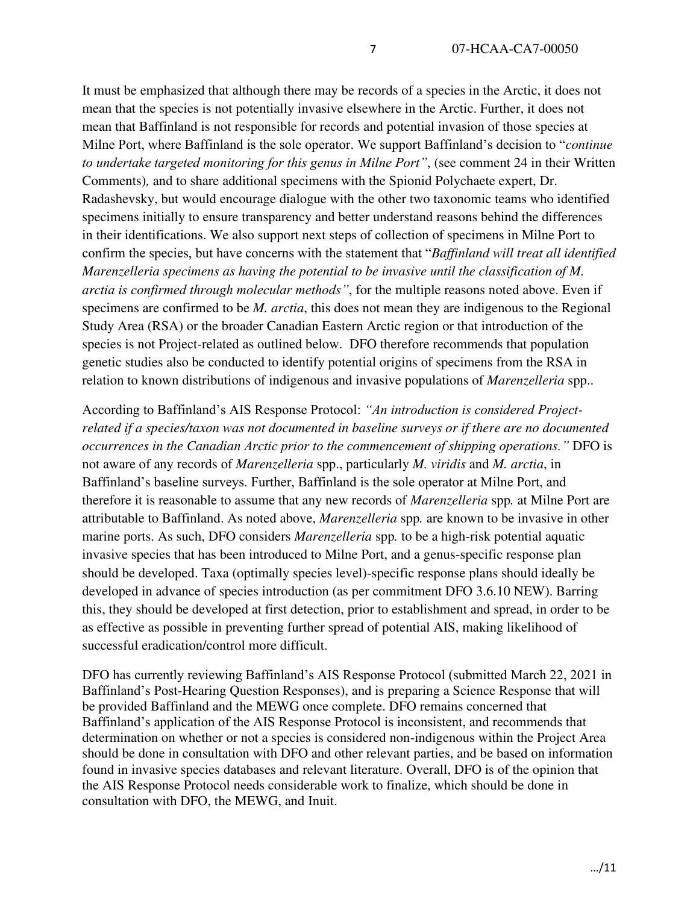It must be emphasized that although there may be records of a species in the Arctic, it does not mean that the species is not potentially invasive elsewhere in the Arctic. Further, it does not mean that Baffinland is not responsible for records and potential invasion of those species at Milne Port, where Baffinland is the sole operator. We support Baffinland's decision to "*continue to undertake targeted monitoring for this genus in Milne Port"*, (see comment 24 in their Written Comments)*,* and to share additional specimens with the Spionid Polychaete expert, Dr. Radashevsky, but would encourage dialogue with the other two taxonomic teams who identified specimens initially to ensure transparency and better understand reasons behind the differences in their identifications. We also support next steps of collection of specimens in Milne Port to confirm the species, but have concerns with the statement that "*Baffinland will treat all identified Marenzelleria specimens as having the potential to be invasive until the classification of M. arctia is confirmed through molecular methods"*, for the multiple reasons noted above. Even if specimens are confirmed to be *M. arctia*, this does not mean they are indigenous to the Regional Study Area (RSA) or the broader Canadian Eastern Arctic region or that introduction of the species is not Project-related as outlined below. DFO therefore recommends that population genetic studies also be conducted to identify potential origins of specimens from the RSA in relation to known distributions of indigenous and invasive populations of *Marenzelleria* spp..

According to Baffinland's AIS Response Protocol: *"An introduction is considered Projectrelated if a species/taxon was not documented in baseline surveys or if there are no documented occurrences in the Canadian Arctic prior to the commencement of shipping operations."* DFO is not aware of any records of *Marenzelleria* spp., particularly *M. viridis* and *M. arctia*, in Baffinland's baseline surveys. Further, Baffinland is the sole operator at Milne Port, and therefore it is reasonable to assume that any new records of *Marenzelleria* spp*.* at Milne Port are attributable to Baffinland. As noted above, *Marenzelleria* spp*.* are known to be invasive in other marine ports. As such, DFO considers *Marenzelleria* spp*.* to be a high-risk potential aquatic invasive species that has been introduced to Milne Port, and a genus-specific response plan should be developed. Taxa (optimally species level)-specific response plans should ideally be developed in advance of species introduction (as per commitment DFO 3.6.10 NEW). Barring this, they should be developed at first detection, prior to establishment and spread, in order to be as effective as possible in preventing further spread of potential AIS, making likelihood of successful eradication/control more difficult.

DFO has currently reviewing Baffinland's AIS Response Protocol (submitted March 22, 2021 in Baffinland's Post-Hearing Question Responses), and is preparing a Science Response that will be provided Baffinland and the MEWG once complete. DFO remains concerned that Baffinland's application of the AIS Response Protocol is inconsistent, and recommends that determination on whether or not a species is considered non-indigenous within the Project Area should be done in consultation with DFO and other relevant parties, and be based on information found in invasive species databases and relevant literature. Overall, DFO is of the opinion that the AIS Response Protocol needs considerable work to finalize, which should be done in consultation with DFO, the MEWG, and Inuit.

…/11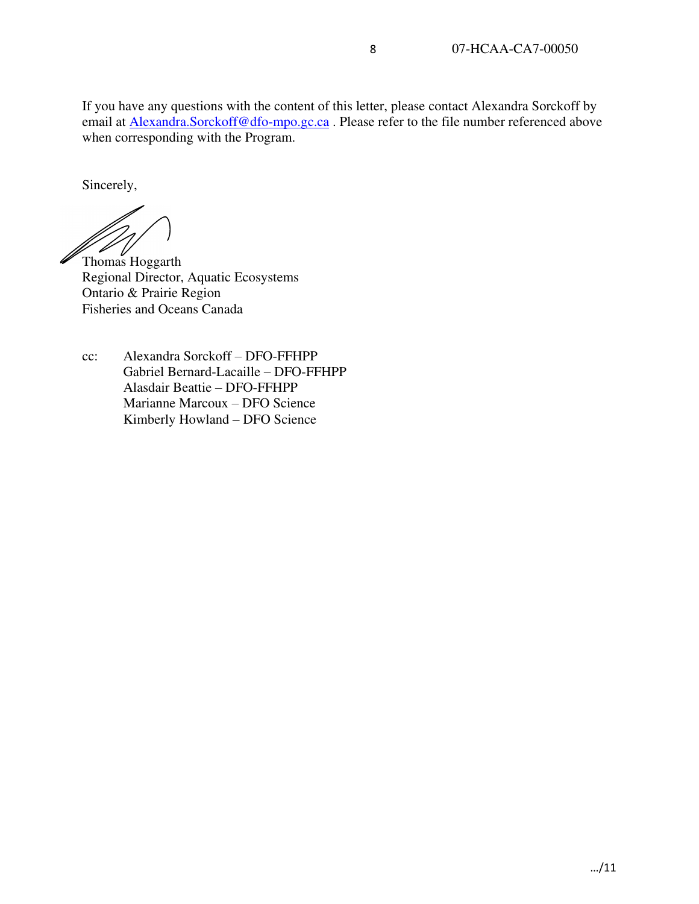If you have any questions with the content of this letter, please contact Alexandra Sorckoff by email at Alexandra.Sorckoff@dfo-mpo.gc.ca. Please refer to the file number referenced above when corresponding with the Program.

Sincerely,

 $\mathscr{W}$   $\mathscr{V}$ <br>Thomas Hoggarth

Regional Director, Aquatic Ecosystems Ontario & Prairie Region Fisheries and Oceans Canada

cc: Alexandra Sorckoff – DFO-FFHPP Gabriel Bernard-Lacaille – DFO-FFHPP Alasdair Beattie – DFO-FFHPP Marianne Marcoux – DFO Science Kimberly Howland – DFO Science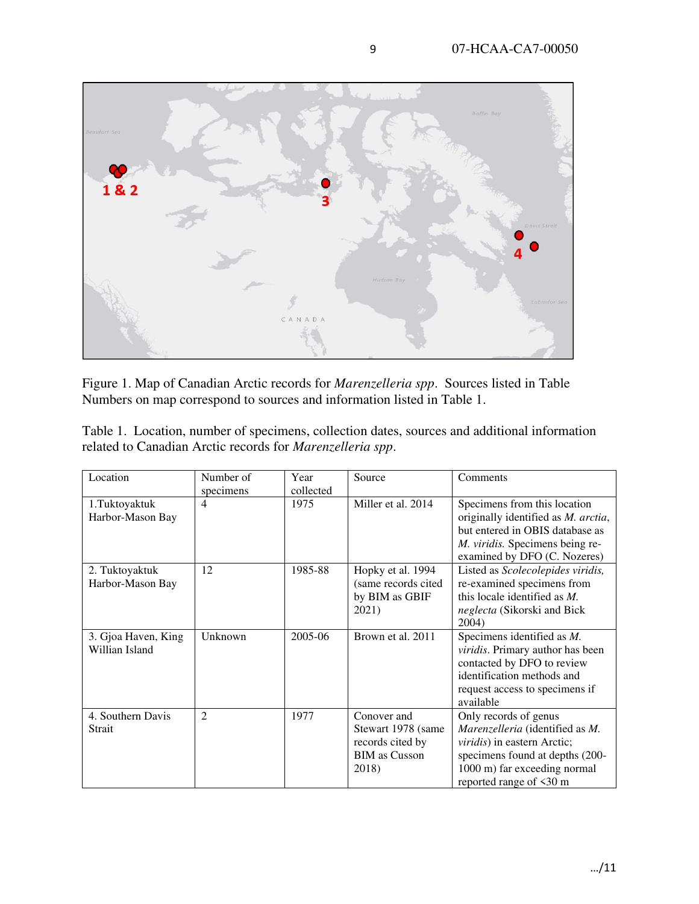

Figure 1. Map of Canadian Arctic records for *Marenzelleria spp*. Sources listed in Table Numbers on map correspond to sources and information listed in Table 1.

|  | Table 1. Location, number of specimens, collection dates, sources and additional information |  |  |  |  |
|--|----------------------------------------------------------------------------------------------|--|--|--|--|
|  | related to Canadian Arctic records for <i>Marenzelleria spp.</i>                             |  |  |  |  |

| Location            | Number of                   | Year      | Source               | Comments                            |  |  |
|---------------------|-----------------------------|-----------|----------------------|-------------------------------------|--|--|
|                     | specimens                   | collected |                      |                                     |  |  |
| 1.Tuktoyaktuk       | 4                           | 1975      | Miller et al. 2014   | Specimens from this location        |  |  |
| Harbor-Mason Bay    |                             |           |                      | originally identified as M. arctia, |  |  |
|                     |                             |           |                      | but entered in OBIS database as     |  |  |
|                     |                             |           |                      | M. viridis. Specimens being re-     |  |  |
|                     |                             |           |                      | examined by DFO (C. Nozeres)        |  |  |
| 2. Tuktoyaktuk      | 12                          | 1985-88   | Hopky et al. 1994    | Listed as Scolecolepides viridis,   |  |  |
| Harbor-Mason Bay    |                             |           | (same records cited) | re-examined specimens from          |  |  |
|                     |                             |           | by BIM as GBIF       | this locale identified as $M$ .     |  |  |
|                     |                             |           | 2021)                | neglecta (Sikorski and Bick         |  |  |
|                     |                             |           |                      | 2004)                               |  |  |
| 3. Gjoa Haven, King | Unknown                     | 2005-06   | Brown et al. 2011    | Specimens identified as M.          |  |  |
| Willian Island      |                             |           |                      | viridis. Primary author has been    |  |  |
|                     |                             |           |                      | contacted by DFO to review          |  |  |
|                     |                             |           |                      | identification methods and          |  |  |
|                     |                             |           |                      | request access to specimens if      |  |  |
|                     |                             |           |                      | available                           |  |  |
| 4. Southern Davis   | $\mathcal{D}_{\mathcal{L}}$ | 1977      | Conover and          | Only records of genus               |  |  |
| Strait              |                             |           | Stewart 1978 (same   | Marenzelleria (identified as M.     |  |  |
|                     |                             |           | records cited by     | viridis) in eastern Arctic;         |  |  |
|                     |                             |           | <b>BIM</b> as Cusson | specimens found at depths (200-     |  |  |
|                     |                             |           | 2018)                | 1000 m) far exceeding normal        |  |  |
|                     |                             |           |                      | reported range of <30 m             |  |  |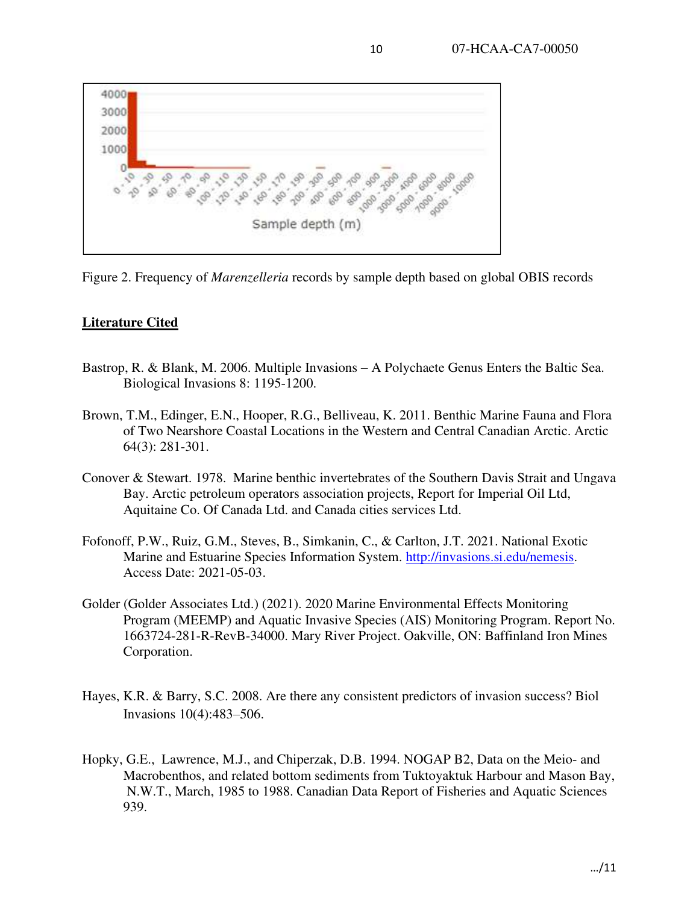

Figure 2. Frequency of *Marenzelleria* records by sample depth based on global OBIS records

## **Literature Cited**

- Bastrop, R. & Blank, M. 2006. Multiple Invasions A Polychaete Genus Enters the Baltic Sea. Biological Invasions 8: 1195-1200.
- Brown, T.M., Edinger, E.N., Hooper, R.G., Belliveau, K. 2011. Benthic Marine Fauna and Flora of Two Nearshore Coastal Locations in the Western and Central Canadian Arctic. Arctic 64(3): 281-301.
- Conover & Stewart. 1978. Marine benthic invertebrates of the Southern Davis Strait and Ungava Bay. Arctic petroleum operators association projects, Report for Imperial Oil Ltd, Aquitaine Co. Of Canada Ltd. and Canada cities services Ltd.
- Fofonoff, P.W., Ruiz, G.M., Steves, B., Simkanin, C., & Carlton, J.T. 2021. National Exotic Marine and Estuarine Species Information System. [http://invasions.si.edu/nemesis.](http://invasions.si.edu/nemesis) Access Date: 2021-05-03.
- Golder (Golder Associates Ltd.) (2021). 2020 Marine Environmental Effects Monitoring Program (MEEMP) and Aquatic Invasive Species (AIS) Monitoring Program. Report No. 1663724-281-R-RevB-34000. Mary River Project. Oakville, ON: Baffinland Iron Mines Corporation.
- Hayes, K.R. & Barry, S.C. 2008. Are there any consistent predictors of invasion success? Biol Invasions 10(4):483–506.
- Hopky, G.E., Lawrence, M.J., and Chiperzak, D.B. 1994. NOGAP B2, Data on the Meio- and Macrobenthos, and related bottom sediments from Tuktoyaktuk Harbour and Mason Bay, N.W.T., March, 1985 to 1988. Canadian Data Report of Fisheries and Aquatic Sciences 939.